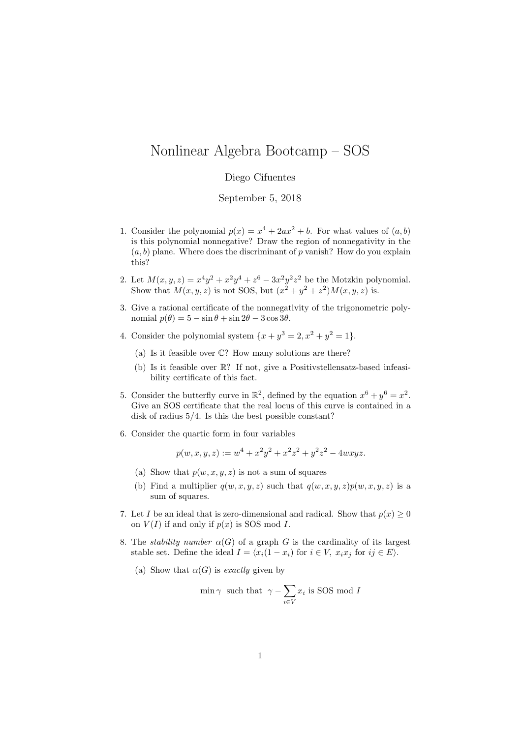## Nonlinear Algebra Bootcamp – SOS

## Diego Cifuentes

September 5, 2018

- 1. Consider the polynomial  $p(x) = x^4 + 2ax^2 + b$ . For what values of  $(a, b)$ is this polynomial nonnegative? Draw the region of nonnegativity in the  $(a, b)$  plane. Where does the discriminant of p vanish? How do you explain this?
- 2. Let  $M(x, y, z) = x^4y^2 + x^2y^4 + z^6 3x^2y^2z^2$  be the Motzkin polynomial. Show that  $M(x, y, z)$  is not SOS, but  $(x^2 + y^2 + z^2)M(x, y, z)$  is.
- 3. Give a rational certificate of the nonnegativity of the trigonometric polynomial  $p(\theta) = 5 - \sin \theta + \sin 2\theta - 3\cos 3\theta$ .
- 4. Consider the polynomial system  $\{x+y^3=2, x^2+y^2=1\}$ .
	- (a) Is it feasible over C? How many solutions are there?
	- (b) Is it feasible over R? If not, give a Positivstellensatz-based infeasibility certificate of this fact.
- 5. Consider the butterfly curve in  $\mathbb{R}^2$ , defined by the equation  $x^6 + y^6 = x^2$ . Give an SOS certificate that the real locus of this curve is contained in a disk of radius 5/4. Is this the best possible constant?
- 6. Consider the quartic form in four variables

$$
p(w, x, y, z) := w4 + x2y2 + x2z2 + y2z2 - 4wxyz.
$$

- (a) Show that  $p(w, x, y, z)$  is not a sum of squares
- (b) Find a multiplier  $q(w, x, y, z)$  such that  $q(w, x, y, z)p(w, x, y, z)$  is a sum of squares.
- 7. Let I be an ideal that is zero-dimensional and radical. Show that  $p(x) \geq 0$ on  $V(I)$  if and only if  $p(x)$  is SOS mod I.
- 8. The *stability number*  $\alpha(G)$  of a graph G is the cardinality of its largest stable set. Define the ideal  $I = \langle x_i(1 - x_i) \rangle$  for  $i \in V$ ,  $x_i x_j$  for  $ij \in E$ ).
	- (a) Show that  $\alpha(G)$  is exactly given by

$$
\min \gamma \text{ such that } \gamma - \sum_{i \in V} x_i \text{ is SOS mod } I
$$